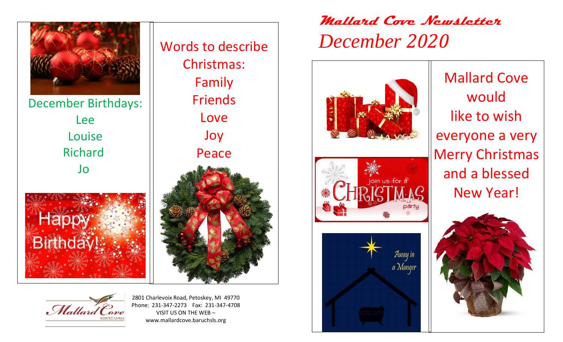

December Birthdays: Lee Louise Richard Jo



Mallard Cove



2801 Charlevoix Road, Petoskey, MI 49770 Phone: 231-347-2273 Fax: 231-347-4708 VISIT US ON THE WEB – www.mallardcove.baruchsls.org

## **Mallard Cove Newsletter**  *December 2020*







Mallard Cove would like to wish everyone a very Merry Christmas and a blessed New Year!